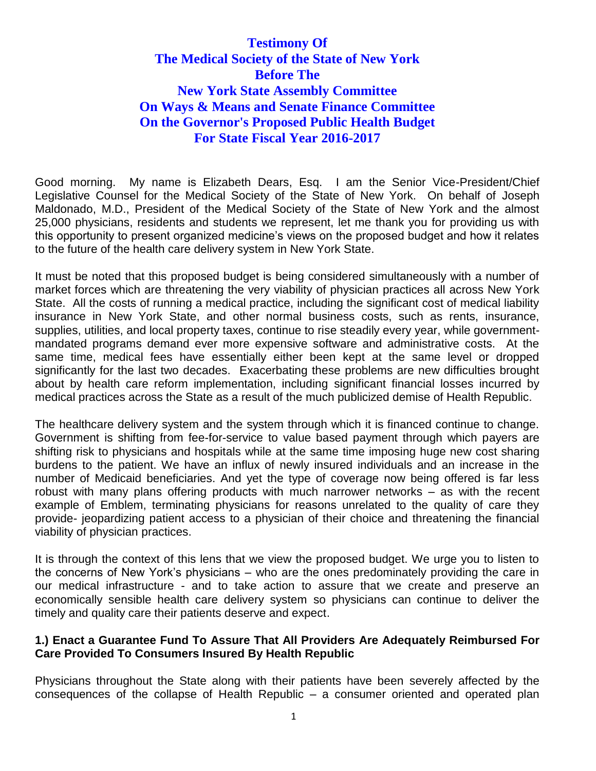# **Testimony Of The Medical Society of the State of New York Before The New York State Assembly Committee On Ways & Means and Senate Finance Committee On the Governor's Proposed Public Health Budget For State Fiscal Year 2016-2017**

Good morning. My name is Elizabeth Dears, Esq. I am the Senior Vice-President/Chief Legislative Counsel for the Medical Society of the State of New York. On behalf of Joseph Maldonado, M.D., President of the Medical Society of the State of New York and the almost 25,000 physicians, residents and students we represent, let me thank you for providing us with this opportunity to present organized medicine's views on the proposed budget and how it relates to the future of the health care delivery system in New York State.

It must be noted that this proposed budget is being considered simultaneously with a number of market forces which are threatening the very viability of physician practices all across New York State. All the costs of running a medical practice, including the significant cost of medical liability insurance in New York State, and other normal business costs, such as rents, insurance, supplies, utilities, and local property taxes, continue to rise steadily every year, while governmentmandated programs demand ever more expensive software and administrative costs. At the same time, medical fees have essentially either been kept at the same level or dropped significantly for the last two decades. Exacerbating these problems are new difficulties brought about by health care reform implementation, including significant financial losses incurred by medical practices across the State as a result of the much publicized demise of Health Republic.

The healthcare delivery system and the system through which it is financed continue to change. Government is shifting from fee-for-service to value based payment through which payers are shifting risk to physicians and hospitals while at the same time imposing huge new cost sharing burdens to the patient. We have an influx of newly insured individuals and an increase in the number of Medicaid beneficiaries. And yet the type of coverage now being offered is far less robust with many plans offering products with much narrower networks – as with the recent example of Emblem, terminating physicians for reasons unrelated to the quality of care they provide- jeopardizing patient access to a physician of their choice and threatening the financial viability of physician practices.

It is through the context of this lens that we view the proposed budget. We urge you to listen to the concerns of New York's physicians – who are the ones predominately providing the care in our medical infrastructure - and to take action to assure that we create and preserve an economically sensible health care delivery system so physicians can continue to deliver the timely and quality care their patients deserve and expect.

#### **1.) Enact a Guarantee Fund To Assure That All Providers Are Adequately Reimbursed For Care Provided To Consumers Insured By Health Republic**

Physicians throughout the State along with their patients have been severely affected by the consequences of the collapse of Health Republic – a consumer oriented and operated plan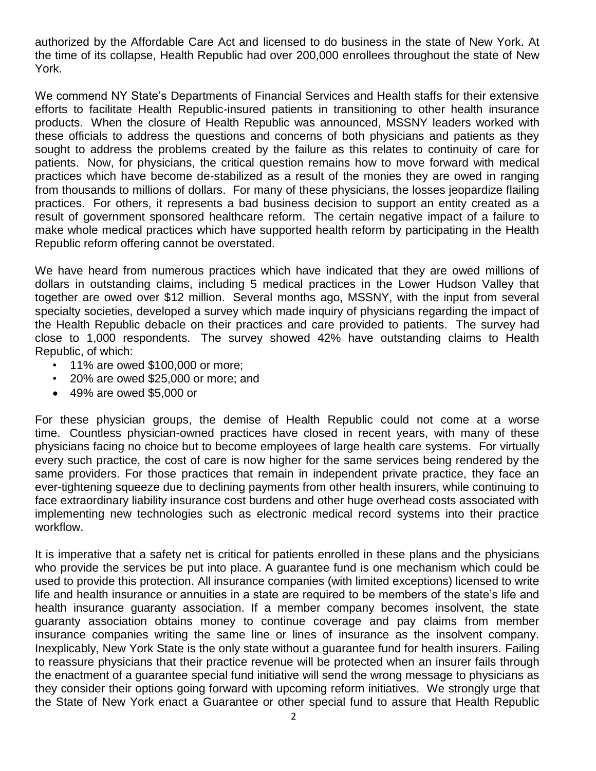authorized by the Affordable Care Act and licensed to do business in the state of New York. At the time of its collapse, Health Republic had over 200,000 enrollees throughout the state of New York.

We commend NY State's Departments of Financial Services and Health staffs for their extensive efforts to facilitate Health Republic-insured patients in transitioning to other health insurance products. When the closure of Health Republic was announced, MSSNY leaders worked with these officials to address the questions and concerns of both physicians and patients as they sought to address the problems created by the failure as this relates to continuity of care for patients. Now, for physicians, the critical question remains how to move forward with medical practices which have become de-stabilized as a result of the monies they are owed in ranging from thousands to millions of dollars. For many of these physicians, the losses jeopardize flailing practices. For others, it represents a bad business decision to support an entity created as a result of government sponsored healthcare reform. The certain negative impact of a failure to make whole medical practices which have supported health reform by participating in the Health Republic reform offering cannot be overstated.

We have heard from numerous practices which have indicated that they are owed millions of dollars in outstanding claims, including 5 medical practices in the Lower Hudson Valley that together are owed over \$12 million. Several months ago, MSSNY, with the input from several specialty societies, developed a survey which made inquiry of physicians regarding the impact of the Health Republic debacle on their practices and care provided to patients. The survey had close to 1,000 respondents. The survey showed 42% have outstanding claims to Health Republic, of which:

- 11% are owed \$100,000 or more;
- 20% are owed \$25,000 or more; and
- 49% are owed \$5,000 or

For these physician groups, the demise of Health Republic could not come at a worse time. Countless physician-owned practices have closed in recent years, with many of these physicians facing no choice but to become employees of large health care systems. For virtually every such practice, the cost of care is now higher for the same services being rendered by the same providers. For those practices that remain in independent private practice, they face an ever-tightening squeeze due to declining payments from other health insurers, while continuing to face extraordinary liability insurance cost burdens and other huge overhead costs associated with implementing new technologies such as electronic medical record systems into their practice workflow.

It is imperative that a safety net is critical for patients enrolled in these plans and the physicians who provide the services be put into place. A guarantee fund is one mechanism which could be used to provide this protection. All insurance companies (with limited exceptions) licensed to write life and health insurance or annuities in a state are required to be members of the state's life and health insurance guaranty association. If a member company becomes insolvent, the state guaranty association obtains money to continue coverage and pay claims from member insurance companies writing the same line or lines of insurance as the insolvent company. Inexplicably, New York State is the only state without a guarantee fund for health insurers. Failing to reassure physicians that their practice revenue will be protected when an insurer fails through the enactment of a guarantee special fund initiative will send the wrong message to physicians as they consider their options going forward with upcoming reform initiatives. We strongly urge that the State of New York enact a Guarantee or other special fund to assure that Health Republic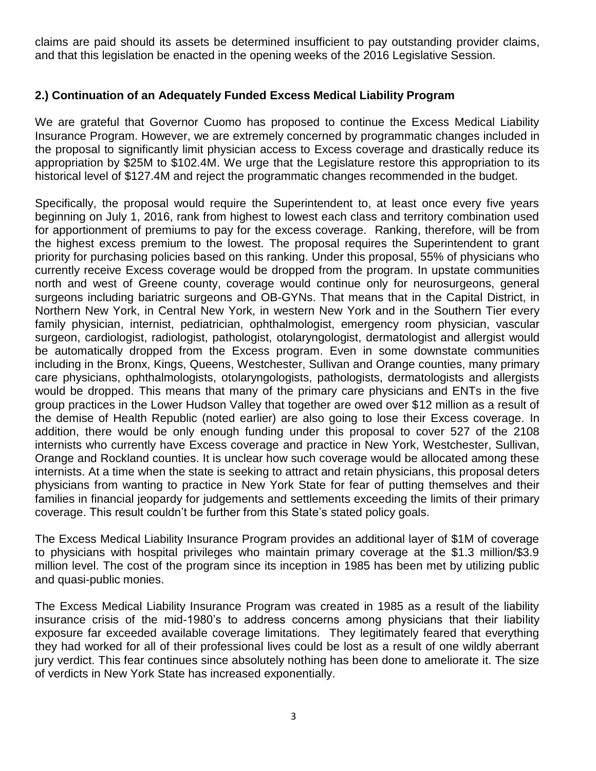claims are paid should its assets be determined insufficient to pay outstanding provider claims, and that this legislation be enacted in the opening weeks of the 2016 Legislative Session.

## **2.) Continuation of an Adequately Funded Excess Medical Liability Program**

We are grateful that Governor Cuomo has proposed to continue the Excess Medical Liability Insurance Program. However, we are extremely concerned by programmatic changes included in the proposal to significantly limit physician access to Excess coverage and drastically reduce its appropriation by \$25M to \$102.4M. We urge that the Legislature restore this appropriation to its historical level of \$127.4M and reject the programmatic changes recommended in the budget.

Specifically, the proposal would require the Superintendent to, at least once every five years beginning on July 1, 2016, rank from highest to lowest each class and territory combination used for apportionment of premiums to pay for the excess coverage. Ranking, therefore, will be from the highest excess premium to the lowest. The proposal requires the Superintendent to grant priority for purchasing policies based on this ranking. Under this proposal, 55% of physicians who currently receive Excess coverage would be dropped from the program. In upstate communities north and west of Greene county, coverage would continue only for neurosurgeons, general surgeons including bariatric surgeons and OB-GYNs. That means that in the Capital District, in Northern New York, in Central New York, in western New York and in the Southern Tier every family physician, internist, pediatrician, ophthalmologist, emergency room physician, vascular surgeon, cardiologist, radiologist, pathologist, otolaryngologist, dermatologist and allergist would be automatically dropped from the Excess program. Even in some downstate communities including in the Bronx, Kings, Queens, Westchester, Sullivan and Orange counties, many primary care physicians, ophthalmologists, otolaryngologists, pathologists, dermatologists and allergists would be dropped. This means that many of the primary care physicians and ENTs in the five group practices in the Lower Hudson Valley that together are owed over \$12 million as a result of the demise of Health Republic (noted earlier) are also going to lose their Excess coverage. In addition, there would be only enough funding under this proposal to cover 527 of the 2108 internists who currently have Excess coverage and practice in New York, Westchester, Sullivan, Orange and Rockland counties. It is unclear how such coverage would be allocated among these internists. At a time when the state is seeking to attract and retain physicians, this proposal deters physicians from wanting to practice in New York State for fear of putting themselves and their families in financial jeopardy for judgements and settlements exceeding the limits of their primary coverage. This result couldn't be further from this State's stated policy goals.

The Excess Medical Liability Insurance Program provides an additional layer of \$1M of coverage to physicians with hospital privileges who maintain primary coverage at the \$1.3 million/\$3.9 million level. The cost of the program since its inception in 1985 has been met by utilizing public and quasi-public monies.

The Excess Medical Liability Insurance Program was created in 1985 as a result of the liability insurance crisis of the mid-1980's to address concerns among physicians that their liability exposure far exceeded available coverage limitations. They legitimately feared that everything they had worked for all of their professional lives could be lost as a result of one wildly aberrant jury verdict. This fear continues since absolutely nothing has been done to ameliorate it. The size of verdicts in New York State has increased exponentially.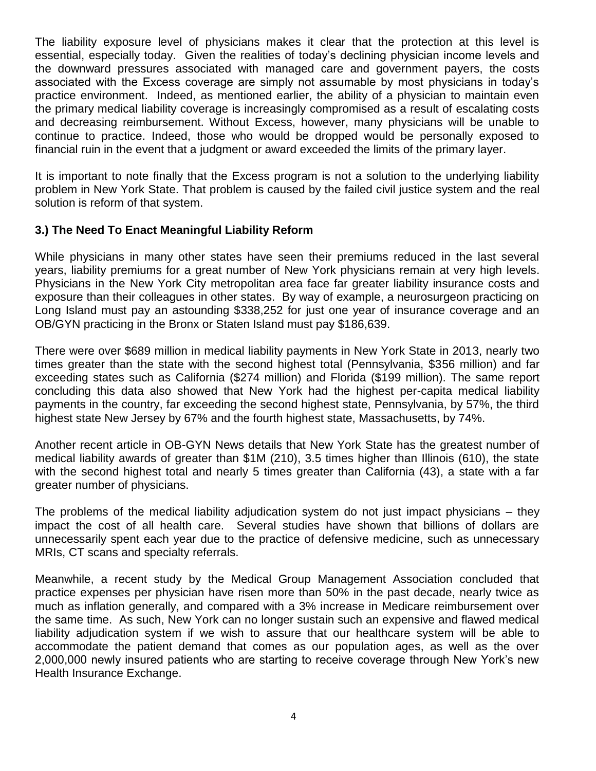The liability exposure level of physicians makes it clear that the protection at this level is essential, especially today. Given the realities of today's declining physician income levels and the downward pressures associated with managed care and government payers, the costs associated with the Excess coverage are simply not assumable by most physicians in today's practice environment. Indeed, as mentioned earlier, the ability of a physician to maintain even the primary medical liability coverage is increasingly compromised as a result of escalating costs and decreasing reimbursement. Without Excess, however, many physicians will be unable to continue to practice. Indeed, those who would be dropped would be personally exposed to financial ruin in the event that a judgment or award exceeded the limits of the primary layer.

It is important to note finally that the Excess program is not a solution to the underlying liability problem in New York State. That problem is caused by the failed civil justice system and the real solution is reform of that system.

#### **3.) The Need To Enact Meaningful Liability Reform**

While physicians in many other states have seen their premiums reduced in the last several years, liability premiums for a great number of New York physicians remain at very high levels. Physicians in the New York City metropolitan area face far greater liability insurance costs and exposure than their colleagues in other states. By way of example, a neurosurgeon practicing on Long Island must pay an astounding \$338,252 for just one year of insurance coverage and an OB/GYN practicing in the Bronx or Staten Island must pay \$186,639.

There were over \$689 million in medical liability payments in New York State in 2013, nearly two times greater than the state with the second highest total (Pennsylvania, \$356 million) and far exceeding states such as California (\$274 million) and Florida (\$199 million). The same report concluding this data also showed that New York had the highest per-capita medical liability payments in the country, far exceeding the second highest state, Pennsylvania, by 57%, the third highest state New Jersey by 67% and the fourth highest state, Massachusetts, by 74%.

Another recent article in OB-GYN News details that New York State has the greatest number of medical liability awards of greater than \$1M (210), 3.5 times higher than Illinois (610), the state with the second highest total and nearly 5 times greater than California (43), a state with a far greater number of physicians.

The problems of the medical liability adjudication system do not just impact physicians – they impact the cost of all health care. Several studies have shown that billions of dollars are unnecessarily spent each year due to the practice of defensive medicine, such as unnecessary MRIs, CT scans and specialty referrals.

Meanwhile, a recent study by the Medical Group Management Association concluded that practice expenses per physician have risen more than 50% in the past decade, nearly twice as much as inflation generally, and compared with a 3% increase in Medicare reimbursement over the same time. As such, New York can no longer sustain such an expensive and flawed medical liability adjudication system if we wish to assure that our healthcare system will be able to accommodate the patient demand that comes as our population ages, as well as the over 2,000,000 newly insured patients who are starting to receive coverage through New York's new Health Insurance Exchange.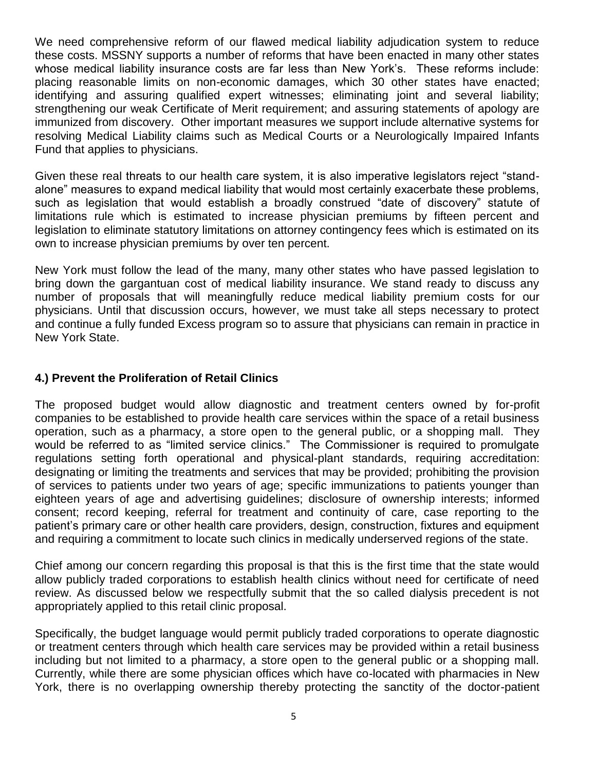We need comprehensive reform of our flawed medical liability adjudication system to reduce these costs. MSSNY supports a number of reforms that have been enacted in many other states whose medical liability insurance costs are far less than New York's. These reforms include: placing reasonable limits on non-economic damages, which 30 other states have enacted; identifying and assuring qualified expert witnesses; eliminating joint and several liability; strengthening our weak Certificate of Merit requirement; and assuring statements of apology are immunized from discovery. Other important measures we support include alternative systems for resolving Medical Liability claims such as Medical Courts or a Neurologically Impaired Infants Fund that applies to physicians.

Given these real threats to our health care system, it is also imperative legislators reject "standalone" measures to expand medical liability that would most certainly exacerbate these problems, such as legislation that would establish a broadly construed "date of discovery" statute of limitations rule which is estimated to increase physician premiums by fifteen percent and legislation to eliminate statutory limitations on attorney contingency fees which is estimated on its own to increase physician premiums by over ten percent.

New York must follow the lead of the many, many other states who have passed legislation to bring down the gargantuan cost of medical liability insurance. We stand ready to discuss any number of proposals that will meaningfully reduce medical liability premium costs for our physicians. Until that discussion occurs, however, we must take all steps necessary to protect and continue a fully funded Excess program so to assure that physicians can remain in practice in New York State.

#### **4.) Prevent the Proliferation of Retail Clinics**

The proposed budget would allow diagnostic and treatment centers owned by for-profit companies to be established to provide health care services within the space of a retail business operation, such as a pharmacy, a store open to the general public, or a shopping mall. They would be referred to as "limited service clinics." The Commissioner is required to promulgate regulations setting forth operational and physical-plant standards, requiring accreditation: designating or limiting the treatments and services that may be provided; prohibiting the provision of services to patients under two years of age; specific immunizations to patients younger than eighteen years of age and advertising guidelines; disclosure of ownership interests; informed consent; record keeping, referral for treatment and continuity of care, case reporting to the patient's primary care or other health care providers, design, construction, fixtures and equipment and requiring a commitment to locate such clinics in medically underserved regions of the state.

Chief among our concern regarding this proposal is that this is the first time that the state would allow publicly traded corporations to establish health clinics without need for certificate of need review. As discussed below we respectfully submit that the so called dialysis precedent is not appropriately applied to this retail clinic proposal.

Specifically, the budget language would permit publicly traded corporations to operate diagnostic or treatment centers through which health care services may be provided within a retail business including but not limited to a pharmacy, a store open to the general public or a shopping mall. Currently, while there are some physician offices which have co-located with pharmacies in New York, there is no overlapping ownership thereby protecting the sanctity of the doctor-patient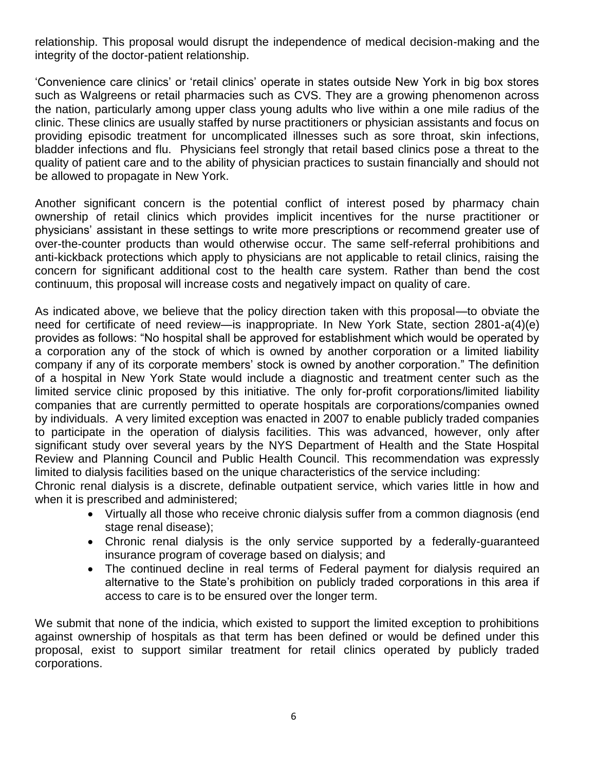relationship. This proposal would disrupt the independence of medical decision-making and the integrity of the doctor-patient relationship.

'Convenience care clinics' or 'retail clinics' operate in states outside New York in big box stores such as Walgreens or retail pharmacies such as CVS. They are a growing phenomenon across the nation, particularly among upper class young adults who live within a one mile radius of the clinic. These clinics are usually staffed by nurse practitioners or physician assistants and focus on providing episodic treatment for uncomplicated illnesses such as sore throat, skin infections, bladder infections and flu. Physicians feel strongly that retail based clinics pose a threat to the quality of patient care and to the ability of physician practices to sustain financially and should not be allowed to propagate in New York.

Another significant concern is the potential conflict of interest posed by pharmacy chain ownership of retail clinics which provides implicit incentives for the nurse practitioner or physicians' assistant in these settings to write more prescriptions or recommend greater use of over-the-counter products than would otherwise occur. The same self-referral prohibitions and anti-kickback protections which apply to physicians are not applicable to retail clinics, raising the concern for significant additional cost to the health care system. Rather than bend the cost continuum, this proposal will increase costs and negatively impact on quality of care.

As indicated above, we believe that the policy direction taken with this proposal—to obviate the need for certificate of need review—is inappropriate. In New York State, section 2801-a(4)(e) provides as follows: "No hospital shall be approved for establishment which would be operated by a corporation any of the stock of which is owned by another corporation or a limited liability company if any of its corporate members' stock is owned by another corporation." The definition of a hospital in New York State would include a diagnostic and treatment center such as the limited service clinic proposed by this initiative. The only for-profit corporations/limited liability companies that are currently permitted to operate hospitals are corporations/companies owned by individuals. A very limited exception was enacted in 2007 to enable publicly traded companies to participate in the operation of dialysis facilities. This was advanced, however, only after significant study over several years by the NYS Department of Health and the State Hospital Review and Planning Council and Public Health Council. This recommendation was expressly limited to dialysis facilities based on the unique characteristics of the service including:

Chronic renal dialysis is a discrete, definable outpatient service, which varies little in how and when it is prescribed and administered;

- Virtually all those who receive chronic dialysis suffer from a common diagnosis (end stage renal disease);
- Chronic renal dialysis is the only service supported by a federally-guaranteed insurance program of coverage based on dialysis; and
- The continued decline in real terms of Federal payment for dialysis required an alternative to the State's prohibition on publicly traded corporations in this area if access to care is to be ensured over the longer term.

We submit that none of the indicia, which existed to support the limited exception to prohibitions against ownership of hospitals as that term has been defined or would be defined under this proposal, exist to support similar treatment for retail clinics operated by publicly traded corporations.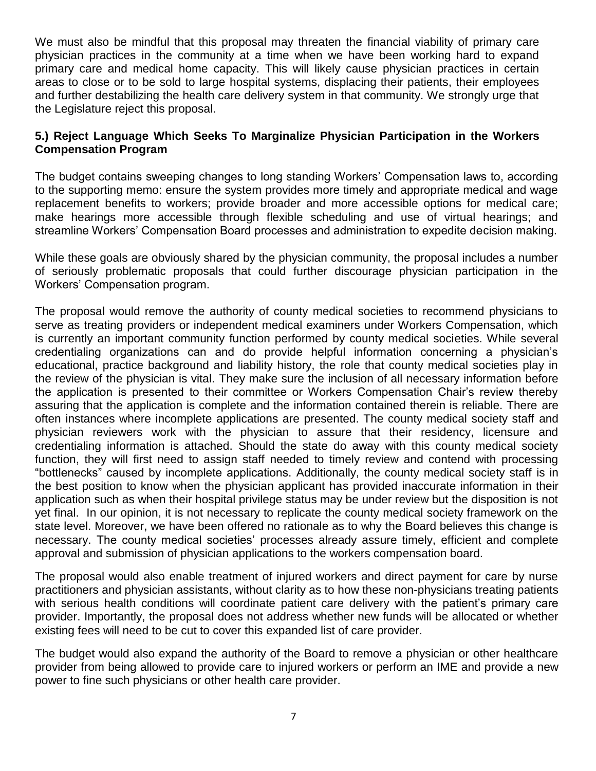We must also be mindful that this proposal may threaten the financial viability of primary care physician practices in the community at a time when we have been working hard to expand primary care and medical home capacity. This will likely cause physician practices in certain areas to close or to be sold to large hospital systems, displacing their patients, their employees and further destabilizing the health care delivery system in that community. We strongly urge that the Legislature reject this proposal.

### **5.) Reject Language Which Seeks To Marginalize Physician Participation in the Workers Compensation Program**

The budget contains sweeping changes to long standing Workers' Compensation laws to, according to the supporting memo: ensure the system provides more timely and appropriate medical and wage replacement benefits to workers; provide broader and more accessible options for medical care; make hearings more accessible through flexible scheduling and use of virtual hearings; and streamline Workers' Compensation Board processes and administration to expedite decision making.

While these goals are obviously shared by the physician community, the proposal includes a number of seriously problematic proposals that could further discourage physician participation in the Workers' Compensation program.

The proposal would remove the authority of county medical societies to recommend physicians to serve as treating providers or independent medical examiners under Workers Compensation, which is currently an important community function performed by county medical societies. While several credentialing organizations can and do provide helpful information concerning a physician's educational, practice background and liability history, the role that county medical societies play in the review of the physician is vital. They make sure the inclusion of all necessary information before the application is presented to their committee or Workers Compensation Chair's review thereby assuring that the application is complete and the information contained therein is reliable. There are often instances where incomplete applications are presented. The county medical society staff and physician reviewers work with the physician to assure that their residency, licensure and credentialing information is attached. Should the state do away with this county medical society function, they will first need to assign staff needed to timely review and contend with processing "bottlenecks" caused by incomplete applications. Additionally, the county medical society staff is in the best position to know when the physician applicant has provided inaccurate information in their application such as when their hospital privilege status may be under review but the disposition is not yet final. In our opinion, it is not necessary to replicate the county medical society framework on the state level. Moreover, we have been offered no rationale as to why the Board believes this change is necessary. The county medical societies' processes already assure timely, efficient and complete approval and submission of physician applications to the workers compensation board.

The proposal would also enable treatment of injured workers and direct payment for care by nurse practitioners and physician assistants, without clarity as to how these non-physicians treating patients with serious health conditions will coordinate patient care delivery with the patient's primary care provider. Importantly, the proposal does not address whether new funds will be allocated or whether existing fees will need to be cut to cover this expanded list of care provider.

The budget would also expand the authority of the Board to remove a physician or other healthcare provider from being allowed to provide care to injured workers or perform an IME and provide a new power to fine such physicians or other health care provider.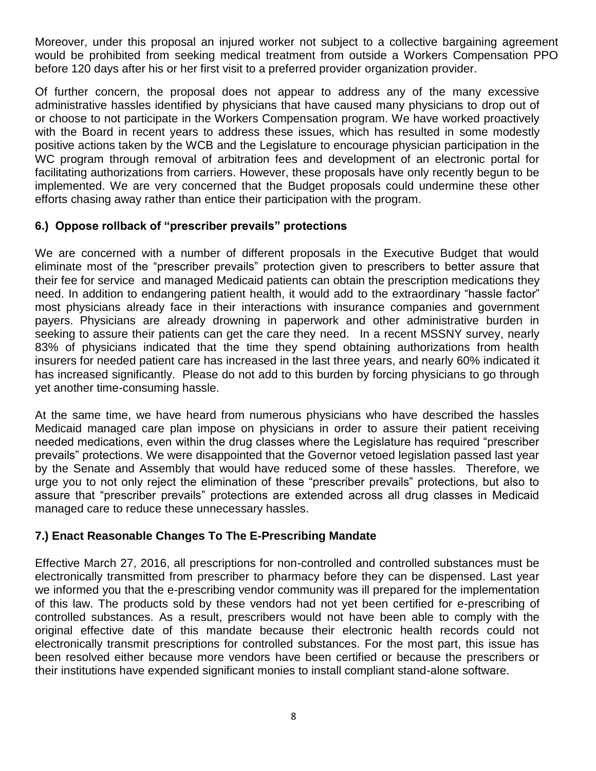Moreover, under this proposal an injured worker not subject to a collective bargaining agreement would be prohibited from seeking medical treatment from outside a Workers Compensation PPO before 120 days after his or her first visit to a preferred provider organization provider.

Of further concern, the proposal does not appear to address any of the many excessive administrative hassles identified by physicians that have caused many physicians to drop out of or choose to not participate in the Workers Compensation program. We have worked proactively with the Board in recent years to address these issues, which has resulted in some modestly positive actions taken by the WCB and the Legislature to encourage physician participation in the WC program through removal of arbitration fees and development of an electronic portal for facilitating authorizations from carriers. However, these proposals have only recently begun to be implemented. We are very concerned that the Budget proposals could undermine these other efforts chasing away rather than entice their participation with the program.

## **6.) Oppose rollback of "prescriber prevails" protections**

We are concerned with a number of different proposals in the Executive Budget that would eliminate most of the "prescriber prevails" protection given to prescribers to better assure that their fee for service and managed Medicaid patients can obtain the prescription medications they need. In addition to endangering patient health, it would add to the extraordinary "hassle factor" most physicians already face in their interactions with insurance companies and government payers. Physicians are already drowning in paperwork and other administrative burden in seeking to assure their patients can get the care they need. In a recent MSSNY survey, nearly 83% of physicians indicated that the time they spend obtaining authorizations from health insurers for needed patient care has increased in the last three years, and nearly 60% indicated it has increased significantly. Please do not add to this burden by forcing physicians to go through yet another time-consuming hassle.

At the same time, we have heard from numerous physicians who have described the hassles Medicaid managed care plan impose on physicians in order to assure their patient receiving needed medications, even within the drug classes where the Legislature has required "prescriber prevails" protections. We were disappointed that the Governor vetoed legislation passed last year by the Senate and Assembly that would have reduced some of these hassles. Therefore, we urge you to not only reject the elimination of these "prescriber prevails" protections, but also to assure that "prescriber prevails" protections are extended across all drug classes in Medicaid managed care to reduce these unnecessary hassles.

## **7.) Enact Reasonable Changes To The E-Prescribing Mandate**

Effective March 27, 2016, all prescriptions for non-controlled and controlled substances must be electronically transmitted from prescriber to pharmacy before they can be dispensed. Last year we informed you that the e-prescribing vendor community was ill prepared for the implementation of this law. The products sold by these vendors had not yet been certified for e-prescribing of controlled substances. As a result, prescribers would not have been able to comply with the original effective date of this mandate because their electronic health records could not electronically transmit prescriptions for controlled substances. For the most part, this issue has been resolved either because more vendors have been certified or because the prescribers or their institutions have expended significant monies to install compliant stand-alone software.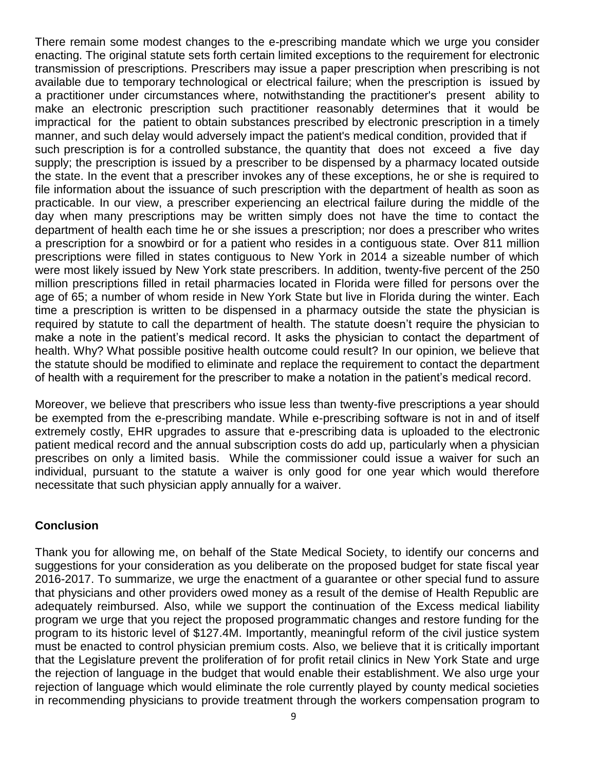There remain some modest changes to the e-prescribing mandate which we urge you consider enacting. The original statute sets forth certain limited exceptions to the requirement for electronic transmission of prescriptions. Prescribers may issue a paper prescription when prescribing is not available due to temporary technological or electrical failure; when the prescription is issued by a practitioner under circumstances where, notwithstanding the practitioner's present ability to make an electronic prescription such practitioner reasonably determines that it would be impractical for the patient to obtain substances prescribed by electronic prescription in a timely manner, and such delay would adversely impact the patient's medical condition, provided that if such prescription is for a controlled substance, the quantity that does not exceed a five day supply; the prescription is issued by a prescriber to be dispensed by a pharmacy located outside the state. In the event that a prescriber invokes any of these exceptions, he or she is required to file information about the issuance of such prescription with the department of health as soon as practicable. In our view, a prescriber experiencing an electrical failure during the middle of the day when many prescriptions may be written simply does not have the time to contact the department of health each time he or she issues a prescription; nor does a prescriber who writes a prescription for a snowbird or for a patient who resides in a contiguous state. Over 811 million prescriptions were filled in states contiguous to New York in 2014 a sizeable number of which were most likely issued by New York state prescribers. In addition, twenty-five percent of the 250 million prescriptions filled in retail pharmacies located in Florida were filled for persons over the age of 65; a number of whom reside in New York State but live in Florida during the winter. Each time a prescription is written to be dispensed in a pharmacy outside the state the physician is required by statute to call the department of health. The statute doesn't require the physician to make a note in the patient's medical record. It asks the physician to contact the department of health. Why? What possible positive health outcome could result? In our opinion, we believe that the statute should be modified to eliminate and replace the requirement to contact the department of health with a requirement for the prescriber to make a notation in the patient's medical record.

Moreover, we believe that prescribers who issue less than twenty-five prescriptions a year should be exempted from the e-prescribing mandate. While e-prescribing software is not in and of itself extremely costly, EHR upgrades to assure that e-prescribing data is uploaded to the electronic patient medical record and the annual subscription costs do add up, particularly when a physician prescribes on only a limited basis. While the commissioner could issue a waiver for such an individual, pursuant to the statute a waiver is only good for one year which would therefore necessitate that such physician apply annually for a waiver.

#### **Conclusion**

Thank you for allowing me, on behalf of the State Medical Society, to identify our concerns and suggestions for your consideration as you deliberate on the proposed budget for state fiscal year 2016-2017. To summarize, we urge the enactment of a guarantee or other special fund to assure that physicians and other providers owed money as a result of the demise of Health Republic are adequately reimbursed. Also, while we support the continuation of the Excess medical liability program we urge that you reject the proposed programmatic changes and restore funding for the program to its historic level of \$127.4M. Importantly, meaningful reform of the civil justice system must be enacted to control physician premium costs. Also, we believe that it is critically important that the Legislature prevent the proliferation of for profit retail clinics in New York State and urge the rejection of language in the budget that would enable their establishment. We also urge your rejection of language which would eliminate the role currently played by county medical societies in recommending physicians to provide treatment through the workers compensation program to